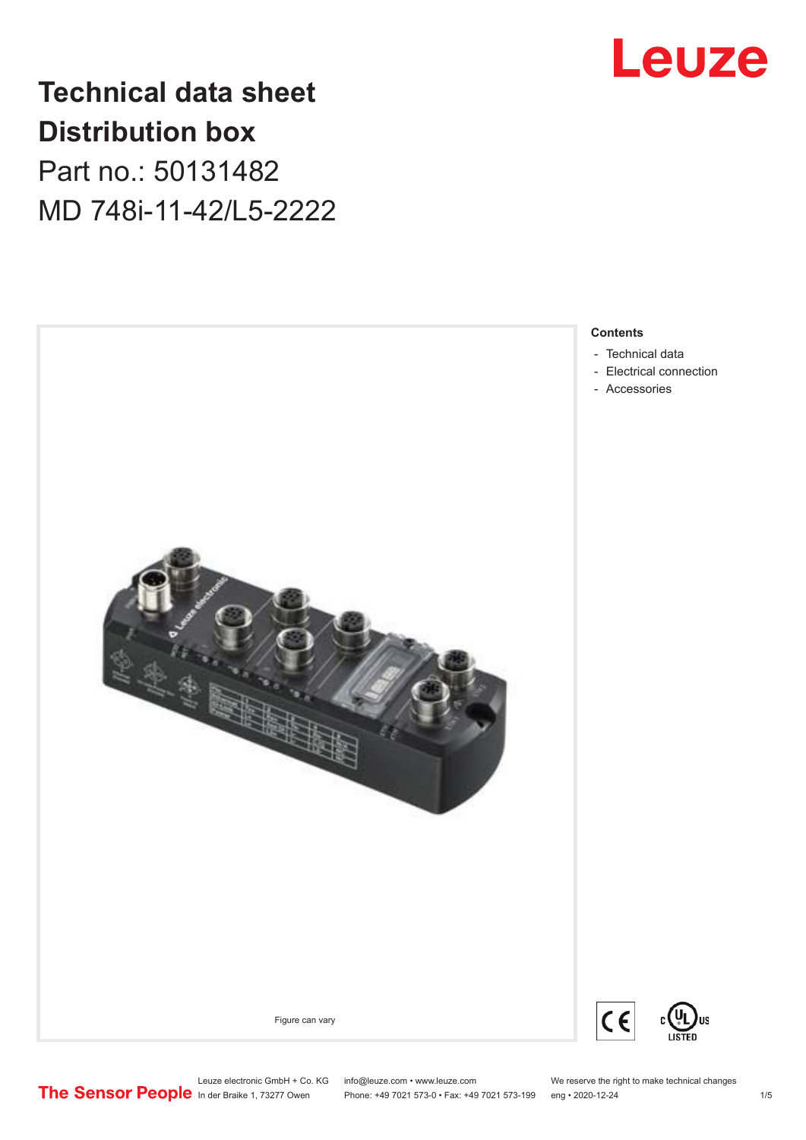

**Technical data sheet Distribution box**

Part no.: 50131482 MD 748i-11-42/L5-2222



# **Contents**

- [Technical data](#page-1-0)
- [Electrical connection](#page-2-0)
- [Accessories](#page-3-0)

C

US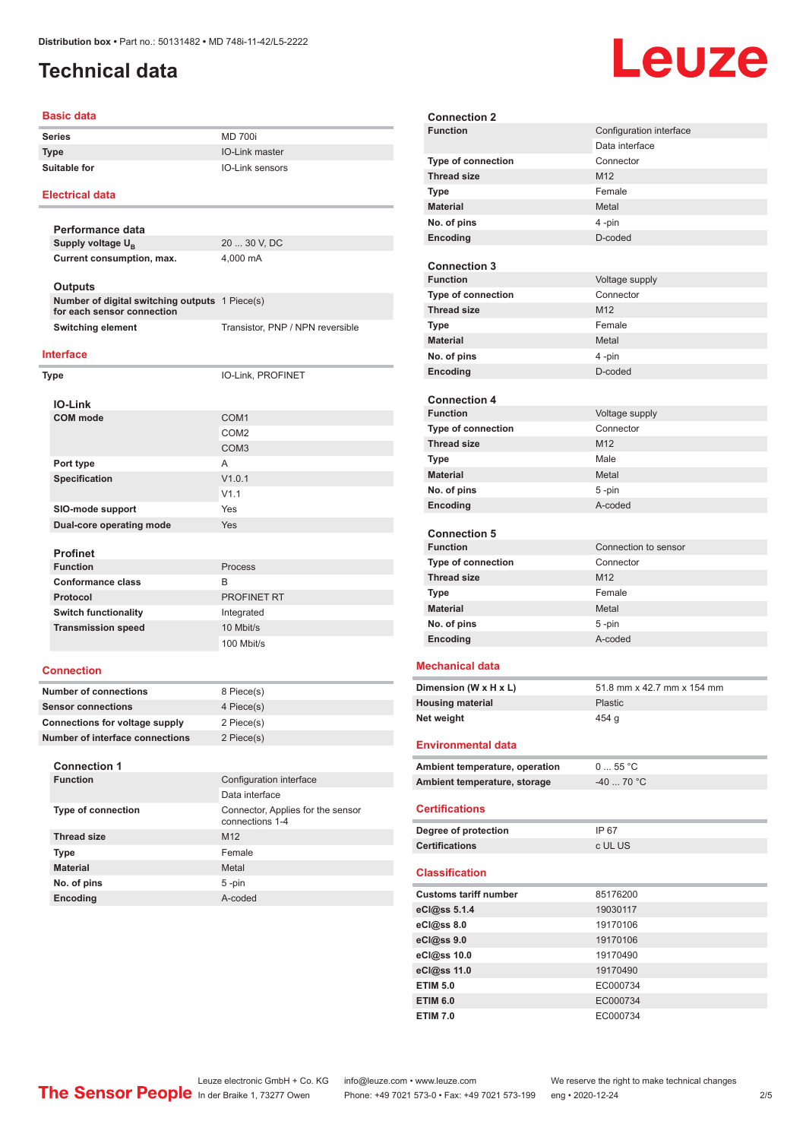# <span id="page-1-0"></span>**Technical data**

### **Basic data**

| <b>Series</b> |  |
|---------------|--|
|               |  |

**Series** MD 700i **Type** IO-Link master **Suitable for IO-Link sensors** 

### **Electrical data**

**Performance data Supply voltage U<sub>B</sub>** 20 ... 30 V, DC **Current consumption, max.** 4,000 mA **Outputs**

| ບແນແຜ<br>Number of digital switching outputs 1 Piece(s) |                                  |
|---------------------------------------------------------|----------------------------------|
| for each sensor connection                              |                                  |
| Switching element                                       | Transistor, PNP / NPN reversible |
|                                                         |                                  |

### **Interface**

| Type                     | IO-Link, PROFINET |  |
|--------------------------|-------------------|--|
| <b>IO-Link</b>           |                   |  |
| <b>COM</b> mode          | COM <sub>1</sub>  |  |
|                          | COM <sub>2</sub>  |  |
|                          | COM <sub>3</sub>  |  |
| Port type                | A                 |  |
| Specification            | V1.0.1            |  |
|                          | V1.1              |  |
| SIO-mode support         | Yes               |  |
| Dual-core operating mode | Yes               |  |
|                          |                   |  |
| <b>Profinet</b>          |                   |  |

| <b>Function</b>             | Process     |
|-----------------------------|-------------|
| <b>Conformance class</b>    | в           |
| Protocol                    | PROFINET RT |
| <b>Switch functionality</b> | Integrated  |
| <b>Transmission speed</b>   | 10 Mbit/s   |
|                             | 100 Mbit/s  |

### **Connection**

| <b>Number of connections</b>    | 8 Piece(s) |
|---------------------------------|------------|
| <b>Sensor connections</b>       | 4 Piece(s) |
| Connections for voltage supply  | 2 Piece(s) |
| Number of interface connections | 2 Piece(s) |

### **Connection 1**

| Connection 1              |                                                      |  |
|---------------------------|------------------------------------------------------|--|
| <b>Function</b>           | Configuration interface                              |  |
|                           | Data interface                                       |  |
| <b>Type of connection</b> | Connector, Applies for the sensor<br>connections 1-4 |  |
| <b>Thread size</b>        | M <sub>12</sub>                                      |  |
| <b>Type</b>               | Female                                               |  |
| <b>Material</b>           | Metal                                                |  |
| No. of pins               | $5 - pin$                                            |  |
| <b>Encoding</b>           | A-coded                                              |  |

| <b>Connection 2</b>                    |                            |
|----------------------------------------|----------------------------|
| <b>Function</b>                        | Configuration interface    |
|                                        | Data interface             |
| Type of connection                     | Connector                  |
| <b>Thread size</b>                     | M12                        |
| <b>Type</b>                            | Female                     |
| <b>Material</b>                        | Metal                      |
| No. of pins                            | 4-pin                      |
| Encoding                               | D-coded                    |
|                                        |                            |
| <b>Connection 3</b>                    |                            |
| <b>Function</b>                        | Voltage supply             |
| <b>Type of connection</b>              | Connector                  |
| <b>Thread size</b>                     | M12                        |
|                                        | Female                     |
| <b>Type</b>                            |                            |
| <b>Material</b>                        | Metal                      |
| No. of pins                            | 4-pin                      |
| Encoding                               | D-coded                    |
|                                        |                            |
| <b>Connection 4</b><br><b>Function</b> |                            |
|                                        | Voltage supply             |
| <b>Type of connection</b>              | Connector                  |
| <b>Thread size</b>                     | M12                        |
| <b>Type</b>                            | Male                       |
| <b>Material</b>                        | Metal                      |
| No. of pins                            | $5 - pin$                  |
| Encoding                               | A-coded                    |
|                                        |                            |
| <b>Connection 5</b>                    |                            |
| <b>Function</b>                        | Connection to sensor       |
| Type of connection                     | Connector                  |
| <b>Thread size</b>                     | M12                        |
| <b>Type</b>                            | Female                     |
| <b>Material</b>                        | Metal                      |
| No. of pins                            | 5-pin                      |
| Encoding                               | A-coded                    |
|                                        |                            |
| <b>Mechanical data</b>                 |                            |
| Dimension (W x H x L)                  | 51.8 mm x 42.7 mm x 154 mm |
| <b>Housing material</b>                | <b>Plastic</b>             |
| Net weight                             | 454 g                      |
|                                        |                            |
| <b>Environmental data</b>              |                            |
| Ambient temperature, operation         | 055 °C                     |
| Ambient temperature, storage           | -40  70 °C                 |
|                                        |                            |
| <b>Certifications</b>                  |                            |
|                                        |                            |
| Degree of protection                   | IP 67                      |
| <b>Certifications</b>                  | c UL US                    |
| <b>Classification</b>                  |                            |
| <b>Customs tariff number</b>           | 85176200                   |
| eCl@ss 5.1.4                           | 19030117                   |
| eCl@ss 8.0                             | 19170106                   |
| eCl@ss 9.0                             | 19170106                   |
| eCl@ss 10.0                            | 19170490                   |
| eCl@ss 11.0                            | 19170490                   |
|                                        |                            |



Leuze electronic GmbH + Co. KG info@leuze.com • www.leuze.com We reserve the right to make technical changes<br>
The Sensor People in der Braike 1, 73277 Owen Phone: +49 7021 573-0 • Fax: +49 7021 573-199 eng • 2020-12-24

Phone: +49 7021 573-0 • Fax: +49 7021 573-199 eng • 2020-12-24 2 2/5

**ETIM 5.0** EC000734 **ETIM 6.0** EC000734 **ETIM 7.0** EC000734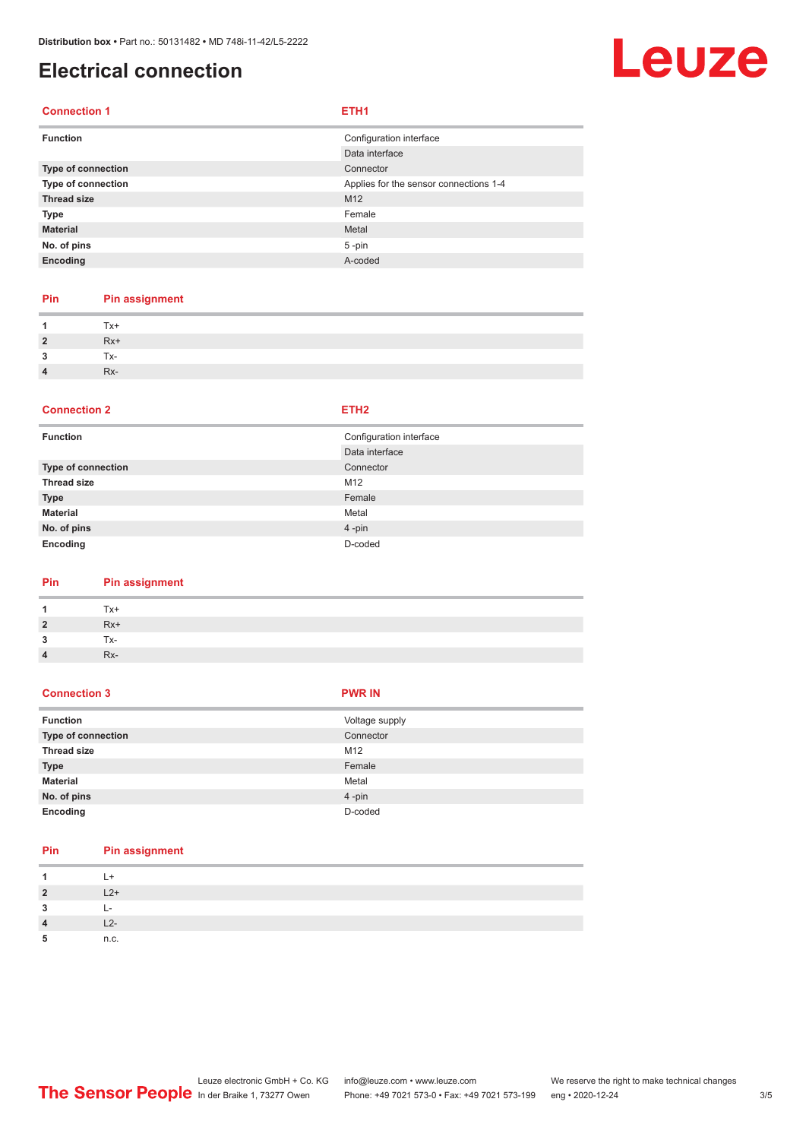# <span id="page-2-0"></span>**Electrical connection**

# Leuze

# **Connection 1 ETH1**

| <b>Function</b>    | Configuration interface                |
|--------------------|----------------------------------------|
|                    | Data interface                         |
| Type of connection | Connector                              |
| Type of connection | Applies for the sensor connections 1-4 |
| <b>Thread size</b> | M <sub>12</sub>                        |
| <b>Type</b>        | Female                                 |
| <b>Material</b>    | Metal                                  |
| No. of pins        | $5 - pin$                              |
| Encoding           | A-coded                                |
|                    |                                        |

# **Pin Pin assignment**

| $\mathbf{1}$            | Tx+   |
|-------------------------|-------|
| $\overline{2}$          | $Rx+$ |
| $\overline{\mathbf{3}}$ | Tx-   |
| $\overline{4}$          | Rx-   |

### **Connection 2 ETH2**

| <b>Function</b>    | Configuration interface |
|--------------------|-------------------------|
|                    | Data interface          |
| Type of connection | Connector               |
| <b>Thread size</b> | M12                     |
| <b>Type</b>        | Female                  |
| <b>Material</b>    | Metal                   |
| No. of pins        | $4 - pin$               |
| Encoding           | D-coded                 |

# **Pin Pin assignment**

| -1             | Tx+   |
|----------------|-------|
| $\overline{2}$ | $Rx+$ |
| -3             | Tx-   |
| $\overline{4}$ | Rx-   |

## **Connection 3 PWR IN**

| <b>Function</b>    | Voltage supply |
|--------------------|----------------|
| Type of connection | Connector      |
| <b>Thread size</b> | M12            |
| <b>Type</b>        | Female         |
| <b>Material</b>    | Metal          |
| No. of pins        | $4 - pin$      |
| Encoding           | D-coded        |

# **Pin Pin assignment**

| 1              | $L+$         |
|----------------|--------------|
| $\overline{2}$ | $L2+$        |
| 3              | $\mathbf{I}$ |
| $\overline{4}$ | $L2-$        |
| 5              | n.c.         |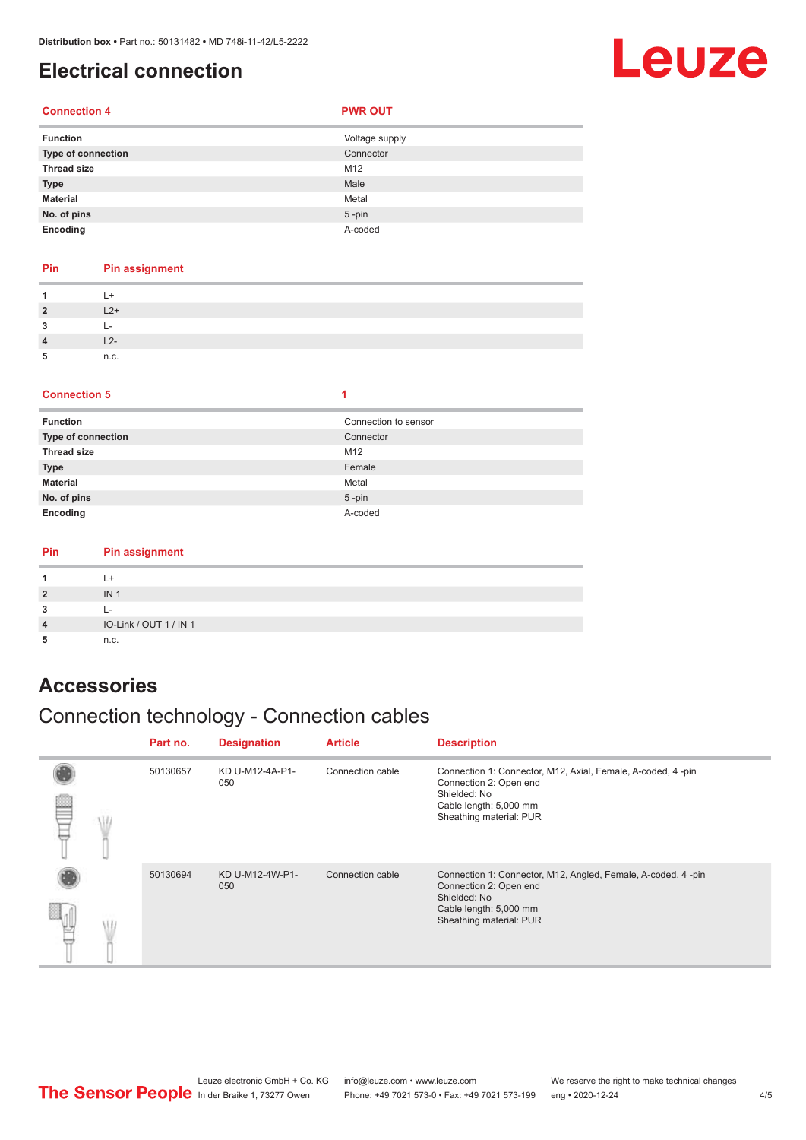# <span id="page-3-0"></span>**Electrical connection**

# Leuze

# **Connection 4 PWR OUT**

| <b>Function</b>    | Voltage supply |
|--------------------|----------------|
| Type of connection | Connector      |
| <b>Thread size</b> | M12            |
| <b>Type</b>        | Male           |
| <b>Material</b>    | Metal          |
| No. of pins        | $5$ -pin       |
| Encoding           | A-coded        |

## **Pin Pin assignment**

| $L2+$ |
|-------|
|       |
|       |
| n.c.  |

### **Connection 5 1**

| <b>Function</b>    | Connection to sensor |
|--------------------|----------------------|
| Type of connection | Connector            |
| <b>Thread size</b> | M12                  |
| <b>Type</b>        | Female               |
| <b>Material</b>    | Metal                |
| No. of pins        | $5$ -pin             |
| Encoding           | A-coded              |

### **Pin Pin assignment**

|                         | , +                    |
|-------------------------|------------------------|
| $\overline{2}$          | IN <sub>1</sub>        |
| 3                       | . .                    |
| $\overline{\mathbf{4}}$ | IO-Link / OUT 1 / IN 1 |
|                         | n.c.                   |

# **Accessories**

# Connection technology - Connection cables

|  | Part no. | <b>Designation</b>     | <b>Article</b>   | <b>Description</b>                                                                                                                                          |
|--|----------|------------------------|------------------|-------------------------------------------------------------------------------------------------------------------------------------------------------------|
|  | 50130657 | KD U-M12-4A-P1-<br>050 | Connection cable | Connection 1: Connector, M12, Axial, Female, A-coded, 4-pin<br>Connection 2: Open end<br>Shielded: No<br>Cable length: 5,000 mm<br>Sheathing material: PUR  |
|  | 50130694 | KD U-M12-4W-P1-<br>050 | Connection cable | Connection 1: Connector, M12, Angled, Female, A-coded, 4-pin<br>Connection 2: Open end<br>Shielded: No<br>Cable length: 5,000 mm<br>Sheathing material: PUR |